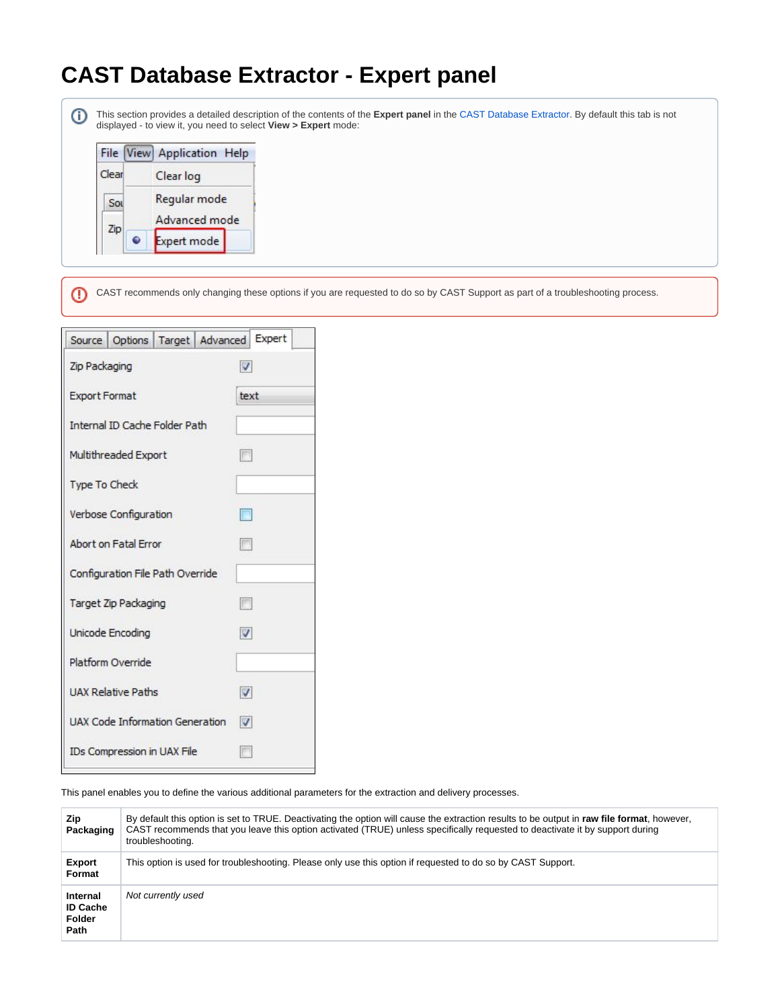## **CAST Database Extractor - Expert panel**

⊕

This section provides a detailed description of the contents of the **Expert panel** in the [CAST Database Extractor](https://doc.castsoftware.com/display/DOCCOM/CAST+Database+Extractor). By default this tab is not displayed - to view it, you need to select **View > Expert** mode:

|       | File View Application Help |  |
|-------|----------------------------|--|
| Clear | Clear log                  |  |
| Sou   | Regular mode               |  |
| Zip   | Advanced mode              |  |
|       | Expert mode                |  |

⊕ CAST recommends only changing these options if you are requested to do so by CAST Support as part of a troubleshooting process.

|                                 |                                  |                            | Source   Options   Target   Advanced   Expert |                         |  |
|---------------------------------|----------------------------------|----------------------------|-----------------------------------------------|-------------------------|--|
| Zip Packaging                   |                                  | $\boldsymbol{\mathcal{U}}$ |                                               |                         |  |
| <b>Export Format</b>            |                                  |                            | text                                          |                         |  |
| Internal ID Cache Folder Path   |                                  |                            |                                               |                         |  |
| Multithreaded Export            |                                  |                            | F                                             |                         |  |
| <b>Type To Check</b>            |                                  |                            |                                               |                         |  |
| Verbose Configuration           |                                  |                            | $\Box$                                        |                         |  |
| Abort on Fatal Frror            |                                  |                            | <b>Buch</b>                                   |                         |  |
|                                 | Configuration File Path Override |                            |                                               |                         |  |
| Target Zip Packaging            |                                  |                            |                                               | 圈                       |  |
| Unicode Encoding                |                                  |                            | $\sqrt{2}$                                    |                         |  |
|                                 | Platform Override                |                            |                                               |                         |  |
| <b>UAX Relative Paths</b>       |                                  |                            |                                               | V                       |  |
| UAX Code Information Generation |                                  |                            |                                               | $\overline{\mathbf{v}}$ |  |
|                                 | IDs Compression in UAX File      |                            |                                               |                         |  |
|                                 |                                  |                            |                                               |                         |  |

This panel enables you to define the various additional parameters for the extraction and delivery processes.

| Zip<br>Packaging                                     | By default this option is set to TRUE. Deactivating the option will cause the extraction results to be output in raw file format, however,<br>CAST recommends that you leave this option activated (TRUE) unless specifically requested to deactivate it by support during<br>troubleshooting. |
|------------------------------------------------------|------------------------------------------------------------------------------------------------------------------------------------------------------------------------------------------------------------------------------------------------------------------------------------------------|
| Export<br>Format                                     | This option is used for troubleshooting. Please only use this option if requested to do so by CAST Support.                                                                                                                                                                                    |
| Internal<br><b>ID Cache</b><br><b>Folder</b><br>Path | Not currently used                                                                                                                                                                                                                                                                             |